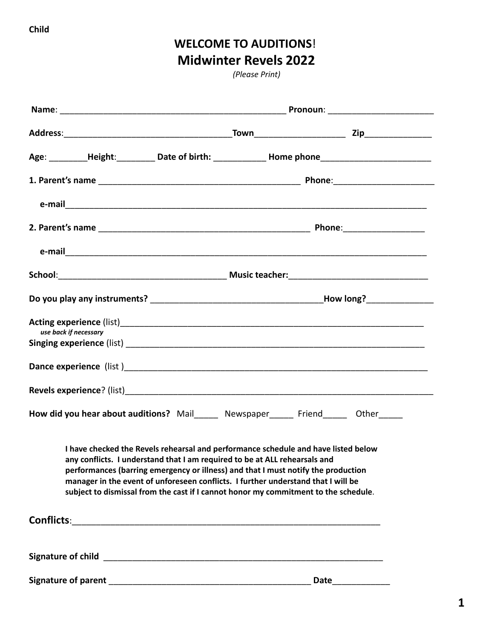## **WELCOME TO AUDITIONS**! **Midwinter Revels 2022**

*(Please Print)*

| Age: _________Height: __________ Date of birth: ______________ Home phone _________________________ |                                                                                                                                                                                                                                                                                                                                                                                                                                   |  |             |  |
|-----------------------------------------------------------------------------------------------------|-----------------------------------------------------------------------------------------------------------------------------------------------------------------------------------------------------------------------------------------------------------------------------------------------------------------------------------------------------------------------------------------------------------------------------------|--|-------------|--|
|                                                                                                     |                                                                                                                                                                                                                                                                                                                                                                                                                                   |  |             |  |
|                                                                                                     |                                                                                                                                                                                                                                                                                                                                                                                                                                   |  |             |  |
|                                                                                                     |                                                                                                                                                                                                                                                                                                                                                                                                                                   |  |             |  |
|                                                                                                     |                                                                                                                                                                                                                                                                                                                                                                                                                                   |  |             |  |
|                                                                                                     |                                                                                                                                                                                                                                                                                                                                                                                                                                   |  |             |  |
|                                                                                                     |                                                                                                                                                                                                                                                                                                                                                                                                                                   |  |             |  |
| use back if necessary                                                                               |                                                                                                                                                                                                                                                                                                                                                                                                                                   |  |             |  |
|                                                                                                     |                                                                                                                                                                                                                                                                                                                                                                                                                                   |  |             |  |
|                                                                                                     |                                                                                                                                                                                                                                                                                                                                                                                                                                   |  |             |  |
|                                                                                                     |                                                                                                                                                                                                                                                                                                                                                                                                                                   |  |             |  |
| How did you hear about auditions? Mail______ Newspaper______ Friend______ Other_____                |                                                                                                                                                                                                                                                                                                                                                                                                                                   |  |             |  |
|                                                                                                     | I have checked the Revels rehearsal and performance schedule and have listed below<br>any conflicts. I understand that I am required to be at ALL rehearsals and<br>performances (barring emergency or illness) and that I must notify the production<br>manager in the event of unforeseen conflicts. I further understand that I will be<br>subject to dismissal from the cast if I cannot honor my commitment to the schedule. |  |             |  |
|                                                                                                     |                                                                                                                                                                                                                                                                                                                                                                                                                                   |  |             |  |
|                                                                                                     |                                                                                                                                                                                                                                                                                                                                                                                                                                   |  |             |  |
|                                                                                                     |                                                                                                                                                                                                                                                                                                                                                                                                                                   |  | <b>Date</b> |  |